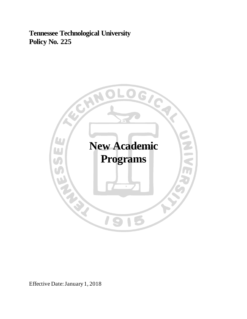**Tennessee Technological University Policy No. 225**



Effective Date: January 1, 2018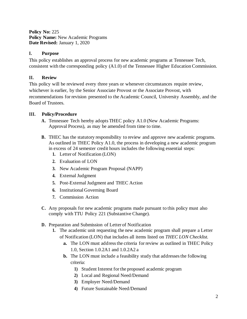**Policy No:** 225 **Policy Name:** New Academic Programs **Date Revised:** January 1, 2020

### **I. Purpose**

This policy establishes an approval process for new academic programs at Tennessee Tech, consistent with the corresponding policy (A1.0) of the Tennessee Higher Education Commission.

# **II. Review**

This policy will be reviewed every three years or whenever circumstances require review, whichever is earlier, by the Senior Associate Provost or the Associate Provost, with recommendations for revision presented to the Academic Council, University Assembly, and the Board of Trustees.

### **III. Policy/Procedure**

- **A.** Tennessee Tech hereby adopts THEC policy A1.0 (New Academic Programs: Approval Process), as may be amended from time to time.
- **B.** THEC has the statutory responsibility to review and approve new academic programs. As outlined in THEC Policy A1.0, the process in developing a new academic program in excess of 24 semester credit hours includes the following essential steps:
	- **1.** Letter of Notification (LON)
	- **2.** Evaluation of LON
	- **3.** New Academic Program Proposal (NAPP)
	- **4.** External Judgment
	- **5.** Post-External Judgment and THEC Action
	- **6.** Institutional Governing Board
	- **7.** Commission Action
- **C.** Any proposals for new academic programs made pursuant to this policy must also comply with TTU Policy 221 (Substantive Change).
- **D.** Preparation and Submission of Letter of Notification
	- **1.** The academic unit requesting the new academic program shall prepare a Letter of Notification (LON) that includes all items listed on *THEC LON Checklist.*
		- **a.** The LON must address the criteria for review as outlined in THEC Policy 1.0, Section 1.0.2A1 and 1.0.2A2 a
		- **b.** The LON must include a feasibility study that addresses the following criteria:
			- **1)** Student Interest for the proposed academic program
			- **2)** Local and Regional Need/Demand
			- **3)** Employer Need/Demand
			- **4)** Future Sustainable Need/Demand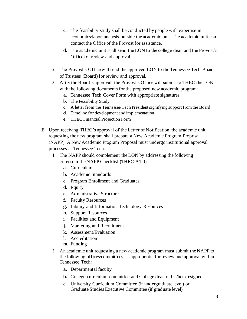- **c.** The feasibility study shall be conducted by people with expertise in economics/labor analysis outside the academic unit. The academic unit can contact the Office of the Provost for assistance.
- **d.** The academic unit shall send the LON to the college dean and the Provost's Office for review and approval.
- **2.** The Provost's Office will send the approved LON to the Tennessee Tech Board of Trustees (Board) for review and approval.
- **3.** After the Board's approval, the Provost's Office will submit to THEC the LON with the following documents for the proposed new academic program:
	- **a.** Tennessee Tech Cover Form with appropriate signatures
	- **b.** The Feasibility Study
	- **c.** A letter from the Tennessee Tech President signifying support from the Board
	- **d.** Timeline for development and implementation
	- **e.** THEC Financial Projection Form
- **E.** Upon receiving THEC's approval of the Letter of Notification, the academic unit requesting the new program shall prepare a New Academic Program Proposal (NAPP). A New Academic Program Proposal must undergo institutional approval processes at Tennessee Tech.
	- **1.** The NAPP should complement the LON by addressing the following criteria in the NAPP Checklist (THEC A1.0):
		- **a.** Curriculum
		- **b.** Academic Standards
		- **c.** Program Enrollment and Graduates
		- **d.** Equity
		- **e.** Administrative Structure
		- **f.** Faculty Resources
		- **g.** Library and Information Technology Resources
		- **h.** Support Resources
		- **i.** Facilities and Equipment
		- **j.** Marketing and Recruitment
		- **k.** Assessment/Evaluation
		- **l.** Accreditation
		- **m.** Funding
	- **2.** An academic unit requesting a new academic program must submit the NAPP to the following offices/committees, as appropriate, for review and approval within Tennessee Tech:
		- **a.** Departmental faculty
		- **b.** College curriculum committee and College dean or his/her designee
		- **c.** University Curriculum Committee (if undergraduate level) or Graduate Studies Executive Committee (if graduate level)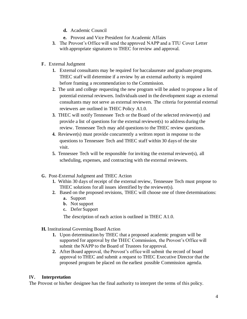- **d.** Academic Council
- **e.** Provost and Vice President for Academic Affairs
- **3.** The Provost's Office will send the approved NAPP and a TTU Cover Letter with appropriate signatures to THEC for review and approval.
- **F .** External Judgment
	- **1.** External consultants may be required for baccalaureate and graduate programs. THEC staff will determine if a review by an external authority is required before framing a recommendation to the Commission.
	- **2.** The unit and college requesting the new program will be asked to propose a list of potential external reviewers. Individuals used in the development stage as external consultants may not serve as external reviewers. The criteria for potential external reviewers are outlined in THEC Policy A1.0.
	- **3.** THEC will notify Tennessee Tech or the Board of the selected reviewer(s) and provide a list of questions for the external reviewer(s) to address during the review. Tennessee Tech may add questions to the THEC review questions.
	- **4.** Reviewer(s) must provide concurrently a written report in response to the questions to Tennessee Tech and THEC staff within 30 days of the site visit.
	- **5.** Tennessee Tech will be responsible for inviting the external reviewer(s), all scheduling, expenses, and contracting with the external reviewers.
- **G.** Post-External Judgment and THEC Action
	- **1.** Within 30 days of receipt of the external review, Tennessee Tech must propose to THEC solutions for all issues identified by the reviewer(s).
	- **2.** Based on the proposed revisions, THEC will choose one of three determinations:
		- **a.** Support
		- **b.** Not support
		- **c.** Defer Support

The description of each action is outlined in THEC A1.0.

- **H.** Institutional Governing Board Action
	- **1.** Upon determination by THEC that a proposed academic program will be supported for approval by the THEC Commission, the Provost's Office will submit the NAPP to the Board of Trustees for approval.
	- **2.** After Board approval, the Provost's office will submit the record of board approval to THEC and submit a request to THEC Executive Director that the proposed program be placed on the earliest possible Commission agenda.

# **IV. Interpretation**

The Provost or his/her designee has the final authority to interpret the terms of this policy.